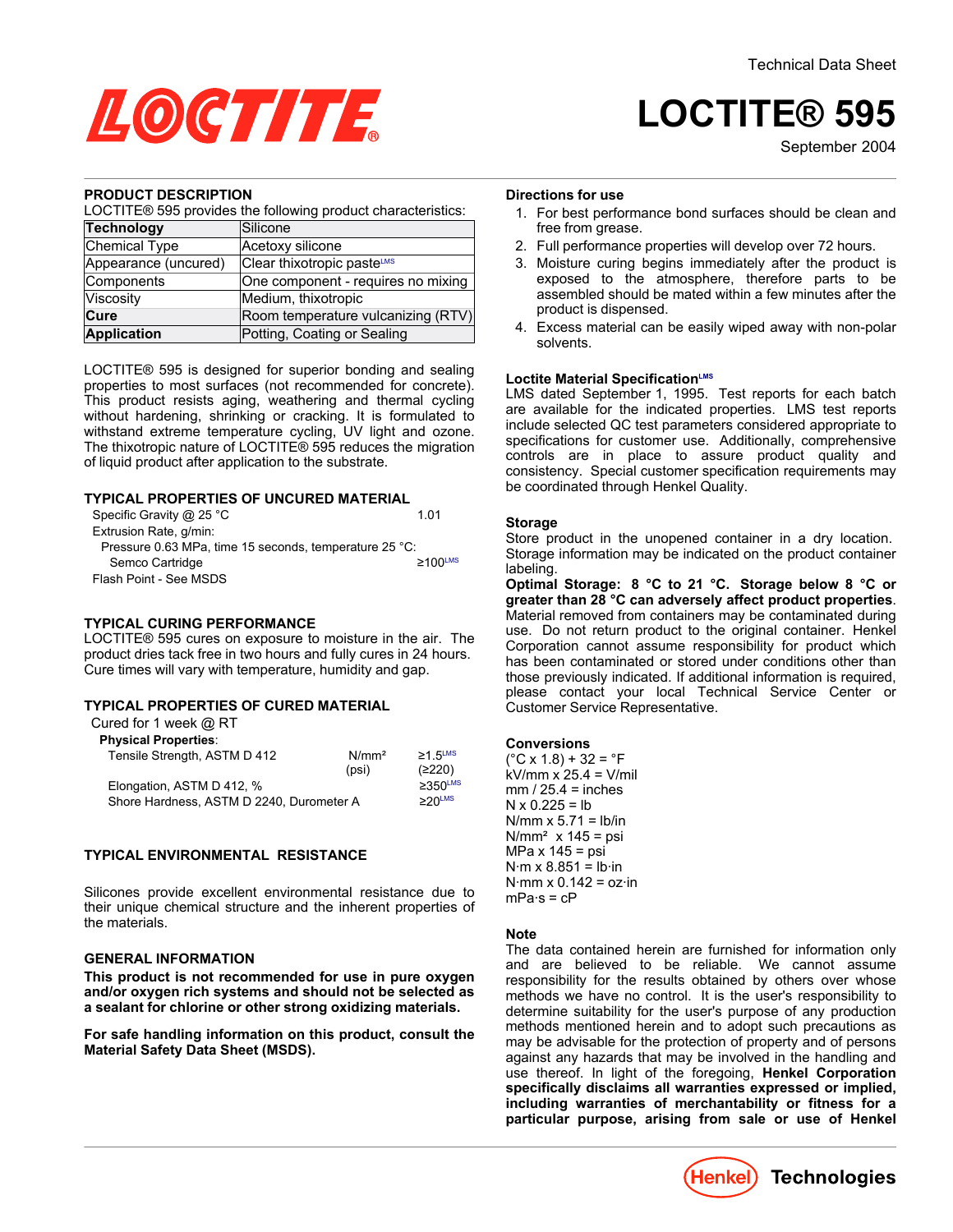

# **LOCTITE® 595**

September 2004

# **PRODUCT DESCRIPTION**

LOCTITE® 595 provides the following product characteristics:

| Technology           | Silicone                           |
|----------------------|------------------------------------|
| Chemical Type        | Acetoxy silicone                   |
| Appearance (uncured) | Clear thixotropic pasteLMS         |
| Components           | One component - requires no mixing |
| Viscosity            | Medium, thixotropic                |
| Cure                 | Room temperature vulcanizing (RTV) |
| <b>Application</b>   | Potting, Coating or Sealing        |

LOCTITE® 595 is designed for superior bonding and sealing properties to most surfaces (not recommended for concrete). This product resists aging, weathering and thermal cycling without hardening, shrinking or cracking. It is formulated to withstand extreme temperature cycling, UV light and ozone. The thixotropic nature of LOCTITE® 595 reduces the migration of liquid product after application to the substrate.

# **TYPICAL PROPERTIES OF UNCURED MATERIAL**

| Specific Gravity @ 25 °C                               | 1 0 1                   |
|--------------------------------------------------------|-------------------------|
| Extrusion Rate, g/min:                                 |                         |
| Pressure 0.63 MPa, time 15 seconds, temperature 25 °C: |                         |
| Semco Cartridge                                        | $\geq 100^{\text{LMS}}$ |
| Flash Point - See MSDS                                 |                         |

#### **TYPICAL CURING PERFORMANCE**

LOCTITE® 595 cures on exposure to moisture in the air. The product dries tack free in two hours and fully cures in 24 hours. Cure times will vary with temperature, humidity and gap.

# **TYPICAL PROPERTIES OF CURED MATERIAL**

Cured for 1 week @ RT

| <b>Physical Properties:</b>              |                            |                           |
|------------------------------------------|----------------------------|---------------------------|
| Tensile Strength, ASTM D 412             | N/mm <sup>2</sup><br>(psi) | $\geq$ 15LMS<br>(≥220)    |
| Elongation, ASTM D 412, %                |                            | $\geq$ 350 <sup>LMS</sup> |
| Shore Hardness, ASTM D 2240, Durometer A |                            | $>20$ LMS                 |

# **TYPICAL ENVIRONMENTAL RESISTANCE**

Silicones provide excellent environmental resistance due to their unique chemical structure and the inherent properties of the materials.

# **GENERAL INFORMATION**

**This product is not recommended for use in pure oxygen and/or oxygen rich systems and should not be selected as a sealant for chlorine or other strong oxidizing materials.**

**For safe handling information on this product, consult the Material Safety Data Sheet (MSDS).**

# **Directions for use**

- 1. For best performance bond surfaces should be clean and free from grease.
- 2. Full performance properties will develop over 72 hours.
- 3. Moisture curing begins immediately after the product is exposed to the atmosphere, therefore parts to be assembled should be mated within a few minutes after the product is dispensed.
- 4. Excess material can be easily wiped away with non-polar solvents.

### **Loctite Material SpecificationLMS**

LMS dated September 1, 1995. Test reports for each batch are available for the indicated properties. LMS test reports include selected QC test parameters considered appropriate to specifications for customer use. Additionally, comprehensive controls are in place to assure product quality and consistency. Special customer specification requirements may be coordinated through Henkel Quality.

# **Storage**

Store product in the unopened container in a dry location. Storage information may be indicated on the product container labeling.

**Optimal Storage: 8 °C to 21 °C. Storage below 8 °C or greater than 28 °C can adversely affect product properties**. Material removed from containers may be contaminated during use. Do not return product to the original container. Henkel Corporation cannot assume responsibility for product which has been contaminated or stored under conditions other than those previously indicated. If additional information is required, please contact your local Technical Service Center or Customer Service Representative.

#### **Conversions**

 $(^{\circ}C$  x 1.8) + 32 =  $^{\circ}F$ kV/mm x 25.4 = V/mil  $mm / 25.4 = inches$  $N \times 0.225 = lb$  $N/mm \times 5.71 = lb/in$  $N/mm^2$  x 145 = psi MPa  $x$  145 = psi  $N·m \times 8.851 = lb·in$  $N·mm \times 0.142 = oz·in$  $mPa·s = cP$ 

#### **Note**

The data contained herein are furnished for information only and are believed to be reliable. We cannot assume responsibility for the results obtained by others over whose methods we have no control. It is the user's responsibility to determine suitability for the user's purpose of any production methods mentioned herein and to adopt such precautions as may be advisable for the protection of property and of persons against any hazards that may be involved in the handling and use thereof. In light of the foregoing, **Henkel Corporation specifically disclaims all warranties expressed or implied, including warranties of merchantability or fitness for a particular purpose, arising from sale or use of Henkel**